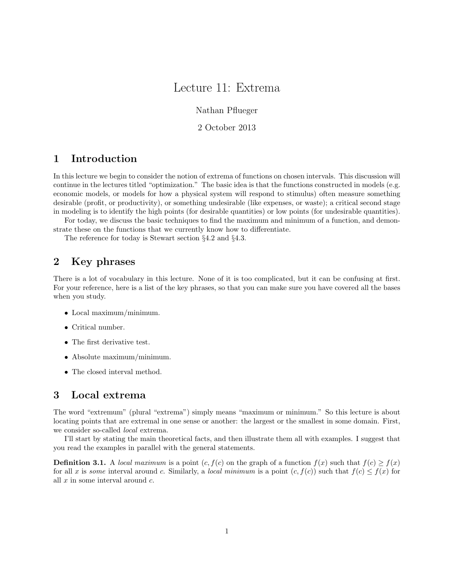# Lecture 11: Extrema

Nathan Pflueger

2 October 2013

## 1 Introduction

In this lecture we begin to consider the notion of extrema of functions on chosen intervals. This discussion will continue in the lectures titled "optimization." The basic idea is that the functions constructed in models (e.g. economic models, or models for how a physical system will respond to stimulus) often measure something desirable (profit, or productivity), or something undesirable (like expenses, or waste); a critical second stage in modeling is to identify the high points (for desirable quantities) or low points (for undesirable quantities).

For today, we discuss the basic techniques to find the maximum and minimum of a function, and demonstrate these on the functions that we currently know how to differentiate.

The reference for today is Stewart section §4.2 and §4.3.

### 2 Key phrases

There is a lot of vocabulary in this lecture. None of it is too complicated, but it can be confusing at first. For your reference, here is a list of the key phrases, so that you can make sure you have covered all the bases when you study.

- Local maximum/minimum.
- Critical number.
- The first derivative test.
- Absolute maximum/minimum.
- The closed interval method.

#### 3 Local extrema

The word "extremum" (plural "extrema") simply means "maximum or minimum." So this lecture is about locating points that are extremal in one sense or another: the largest or the smallest in some domain. First, we consider so-called *local* extrema.

I'll start by stating the main theoretical facts, and then illustrate them all with examples. I suggest that you read the examples in parallel with the general statements.

**Definition 3.1.** A local maximum is a point  $(c, f(c))$  on the graph of a function  $f(x)$  such that  $f(c) \geq f(x)$ for all x is some interval around c. Similarly, a local minimum is a point  $(c, f(c))$  such that  $f(c) \leq f(x)$  for all  $x$  in some interval around  $c$ .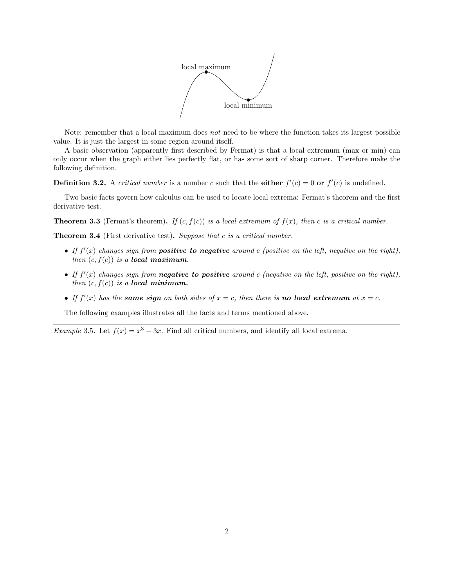

Note: remember that a local maximum does not need to be where the function takes its largest possible value. It is just the largest in some region around itself.

A basic observation (apparently first described by Fermat) is that a local extremum (max or min) can only occur when the graph either lies perfectly flat, or has some sort of sharp corner. Therefore make the following definition.

**Definition 3.2.** A critical number is a number c such that the **either**  $f'(c) = 0$  or  $f'(c)$  is undefined.

Two basic facts govern how calculus can be used to locate local extrema: Fermat's theorem and the first derivative test.

**Theorem 3.3** (Fermat's theorem). If  $(c, f(c))$  is a local extremum of  $f(x)$ , then c is a critical number.

Theorem 3.4 (First derivative test). Suppose that c is a critical number.

- If  $f'(x)$  changes sign from **positive to negative** around c (positive on the left, negative on the right), then  $(c, f(c))$  is a **local maximum**.
- If  $f'(x)$  changes sign from **negative to positive** around c (negative on the left, positive on the right), then  $(c, f(c))$  is a **local minimum.**
- If  $f'(x)$  has the same sign on both sides of  $x = c$ , then there is no local extremum at  $x = c$ .

The following examples illustrates all the facts and terms mentioned above.

*Example* 3.5. Let  $f(x) = x^3 - 3x$ . Find all critical numbers, and identify all local extrema.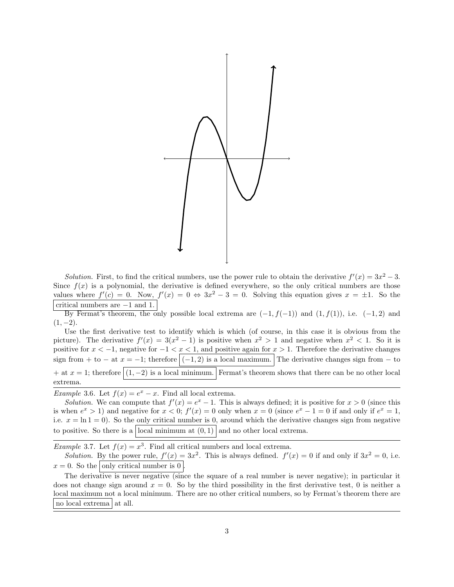

Solution. First, to find the critical numbers, use the power rule to obtain the derivative  $f'(x) = 3x^2 - 3$ . Since  $f(x)$  is a polynomial, the derivative is defined everywhere, so the only critical numbers are those values where  $f'(c) = 0$ . Now,  $f'(x) = 0 \Leftrightarrow 3x^2 - 3 = 0$ . Solving this equation gives  $x = \pm 1$ . So the critical numbers are −1 and 1.

By Fermat's theorem, the only possible local extrema are  $(-1, f(-1))$  and  $(1, f(1))$ , i.e.  $(-1, 2)$  and  $(1, -2)$ .

Use the first derivative test to identify which is which (of course, in this case it is obvious from the picture). The derivative  $f'(x) = 3(x^2 - 1)$  is positive when  $x^2 > 1$  and negative when  $x^2 < 1$ . So it is positive for  $x < -1$ , negative for  $-1 < x < 1$ , and positive again for  $x > 1$ . Therefore the derivative changes sign from + to − at  $x = -1$ ; therefore  $|(-1, 2)$  is a local maximum. The derivative changes sign from − to + at  $x = 1$ ; therefore  $(1, -2)$  is a local minimum. Fermat's theorem shows that there can be no other local extrema.

Example 3.6. Let  $f(x) = e^x - x$ . Find all local extrema.

Solution. We can compute that  $f'(x) = e^x - 1$ . This is always defined; it is positive for  $x > 0$  (since this is when  $e^x > 1$ ) and negative for  $x < 0$ ;  $f'(x) = 0$  only when  $x = 0$  (since  $e^x - 1 = 0$  if and only if  $e^x = 1$ , i.e.  $x = \ln 1 = 0$ . So the only critical number is 0, around which the derivative changes sign from negative to positive. So there is a local minimum at  $(0,1)$  and no other local extrema.

*Example* 3.7. Let  $f(x) = x^3$ . Find all critical numbers and local extrema.

Solution. By the power rule,  $f'(x) = 3x^2$ . This is always defined.  $f'(x) = 0$  if and only if  $3x^2 = 0$ , i.e.  $x = 0$ . So the only critical number is 0.

The derivative is never negative (since the square of a real number is never negative); in particular it does not change sign around  $x = 0$ . So by the third possibility in the first derivative test, 0 is neither a local maximum not a local minimum. There are no other critical numbers, so by Fermat's theorem there are no local extrema at all.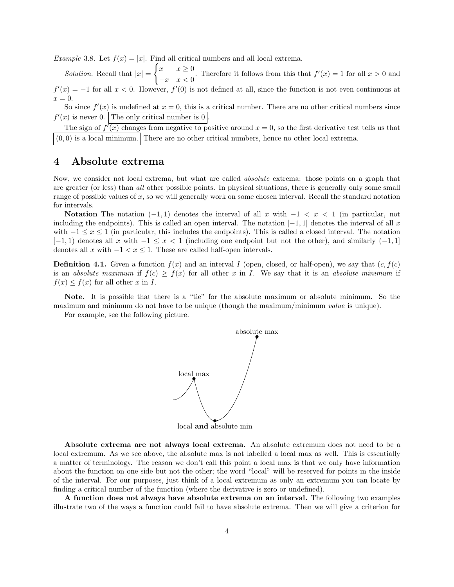Example 3.8. Let  $f(x) = |x|$ . Find all critical numbers and all local extrema.

Solution. Recall that  $|x| =$  $\int x \quad x \geq 0$  $\begin{cases}\nx & x \leq 0 \\
-x & x < 0\n\end{cases}$ . Therefore it follows from this that  $f'(x) = 1$  for all  $x > 0$  and  $f'(x) = -1$  for all  $x < 0$ . However,  $f'(0)$  is not defined at all, since the function is not even continuous at  $x = 0.$ 

So since  $f'(x)$  is undefined at  $x = 0$ , this is a critical number. There are no other critical numbers since  $f'(x)$  is never 0. The only critical number is 0.

The sign of  $f'(x)$  changes from negative to positive around  $x = 0$ , so the first derivative test tells us that  $(0, 0)$  is a local minimum. There are no other critical numbers, hence no other local extrema.

#### 4 Absolute extrema

Now, we consider not local extrema, but what are called absolute extrema: those points on a graph that are greater (or less) than all other possible points. In physical situations, there is generally only some small range of possible values of x, so we will generally work on some chosen interval. Recall the standard notation for intervals.

Notation The notation  $(-1, 1)$  denotes the interval of all x with  $-1 < x < 1$  (in particular, not including the endpoints). This is called an open interval. The notation  $[-1, 1]$  denotes the interval of all x with  $-1 \leq x \leq 1$  (in particular, this includes the endpoints). This is called a closed interval. The notation  $[-1, 1]$  denotes all x with  $-1 \leq x < 1$  (including one endpoint but not the other), and similarly  $(-1, 1]$ denotes all x with  $-1 < x \leq 1$ . These are called half-open intervals.

**Definition 4.1.** Given a function  $f(x)$  and an interval I (open, closed, or half-open), we say that  $(c, f(c))$ is an absolute maximum if  $f(c) \geq f(x)$  for all other x in I. We say that it is an absolute minimum if  $f(x) \leq f(x)$  for all other x in I.

Note. It is possible that there is a "tie" for the absolute maximum or absolute minimum. So the maximum and minimum do not have to be unique (though the maximum/minimum value is unique).

For example, see the following picture.



Absolute extrema are not always local extrema. An absolute extremum does not need to be a local extremum. As we see above, the absolute max is not labelled a local max as well. This is essentially a matter of terminology. The reason we don't call this point a local max is that we only have information about the function on one side but not the other; the word "local" will be reserved for points in the inside of the interval. For our purposes, just think of a local extremum as only an extremum you can locate by finding a critical number of the function (where the derivative is zero or undefined).

A function does not always have absolute extrema on an interval. The following two examples illustrate two of the ways a function could fail to have absolute extrema. Then we will give a criterion for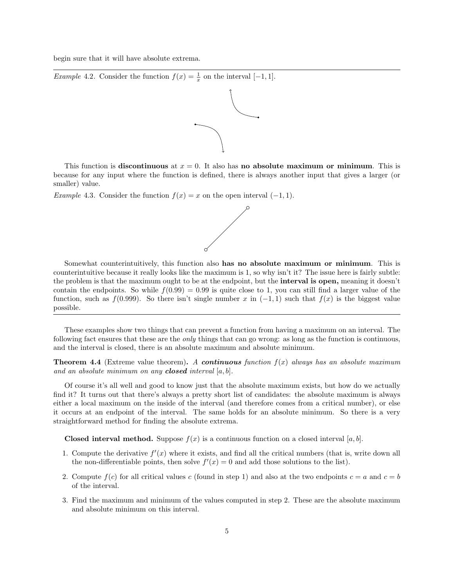begin sure that it will have absolute extrema.

*Example* 4.2. Consider the function  $f(x) = \frac{1}{x}$  on the interval [-1, 1].



This function is discontinuous at  $x = 0$ . It also has no absolute maximum or minimum. This is because for any input where the function is defined, there is always another input that gives a larger (or smaller) value.

Example 4.3. Consider the function  $f(x) = x$  on the open interval  $(-1, 1)$ .



Somewhat counterintuitively, this function also has no absolute maximum or minimum. This is counterintuitive because it really looks like the maximum is 1, so why isn't it? The issue here is fairly subtle: the problem is that the maximum ought to be at the endpoint, but the interval is open, meaning it doesn't contain the endpoints. So while  $f(0.99) = 0.99$  is quite close to 1, you can still find a larger value of the function, such as  $f(0.999)$ . So there isn't single number x in  $(-1, 1)$  such that  $f(x)$  is the biggest value possible.

These examples show two things that can prevent a function from having a maximum on an interval. The following fact ensures that these are the *only* things that can go wrong: as long as the function is continuous, and the interval is closed, there is an absolute maximum and absolute minimum.

**Theorem 4.4** (Extreme value theorem). A continuous function  $f(x)$  always has an absolute maximum and an absolute minimum on any **closed** interval  $[a, b]$ .

Of course it's all well and good to know just that the absolute maximum exists, but how do we actually find it? It turns out that there's always a pretty short list of candidates: the absolute maximum is always either a local maximum on the inside of the interval (and therefore comes from a critical number), or else it occurs at an endpoint of the interval. The same holds for an absolute minimum. So there is a very straightforward method for finding the absolute extrema.

**Closed interval method.** Suppose  $f(x)$  is a continuous function on a closed interval [a, b].

- 1. Compute the derivative  $f'(x)$  where it exists, and find all the critical numbers (that is, write down all the non-differentiable points, then solve  $f'(x) = 0$  and add those solutions to the list).
- 2. Compute  $f(c)$  for all critical values c (found in step 1) and also at the two endpoints  $c = a$  and  $c = b$ of the interval.
- 3. Find the maximum and minimum of the values computed in step 2. These are the absolute maximum and absolute minimum on this interval.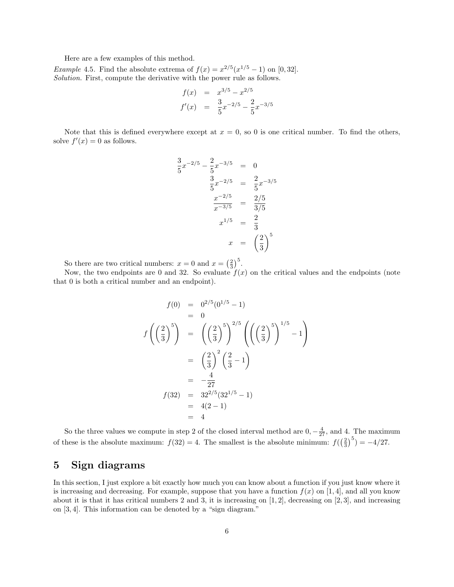Here are a few examples of this method.

*Example* 4.5. Find the absolute extrema of  $f(x) = x^{2/5}(x^{1/5} - 1)$  on [0,32]. Solution. First, compute the derivative with the power rule as follows.

$$
f(x) = x^{3/5} - x^{2/5}
$$
  

$$
f'(x) = \frac{3}{5}x^{-2/5} - \frac{2}{5}x^{-3/5}
$$

Note that this is defined everywhere except at  $x = 0$ , so 0 is one critical number. To find the others, solve  $f'(x) = 0$  as follows.

$$
\frac{3}{5}x^{-2/5} - \frac{2}{5}x^{-3/5} = 0
$$
  

$$
\frac{3}{5}x^{-2/5} = \frac{2}{5}x^{-3/5}
$$
  

$$
\frac{x^{-2/5}}{x^{-3/5}} = \frac{2/5}{3/5}
$$
  

$$
x^{1/5} = \frac{2}{3}
$$
  

$$
x = \left(\frac{2}{3}\right)^5
$$

So there are two critical numbers:  $x = 0$  and  $x = \left(\frac{2}{3}\right)^5$ .

Now, the two endpoints are 0 and 32. So evaluate  $f(x)$  on the critical values and the endpoints (note that 0 is both a critical number and an endpoint).

$$
f(0) = 0^{2/5} (0^{1/5} - 1)
$$
  
\n= 0  
\n
$$
f\left(\left(\frac{2}{3}\right)^5\right) = \left(\left(\frac{2}{3}\right)^5\right)^{2/5} \left(\left(\left(\frac{2}{3}\right)^5\right)^{1/5} - 1\right)
$$
  
\n=  $\left(\frac{2}{3}\right)^2 \left(\frac{2}{3} - 1\right)$   
\n=  $-\frac{4}{27}$   
\n
$$
f(32) = 32^{2/5} (32^{1/5} - 1)
$$
  
\n= 4(2 - 1)  
\n= 4

So the three values we compute in step 2 of the closed interval method are  $0, -\frac{4}{27}$ , and 4. The maximum of these is the absolute maximum:  $f(32) = 4$ . The smallest is the absolute minimum:  $f(\left(\frac{2}{3}\right)^5) = -4/27$ .

#### 5 Sign diagrams

In this section, I just explore a bit exactly how much you can know about a function if you just know where it is increasing and decreasing. For example, suppose that you have a function  $f(x)$  on [1, 4], and all you know about it is that it has critical numbers 2 and 3, it is increasing on  $[1, 2]$ , decreasing on  $[2, 3]$ , and increasing on [3, 4]. This information can be denoted by a "sign diagram."